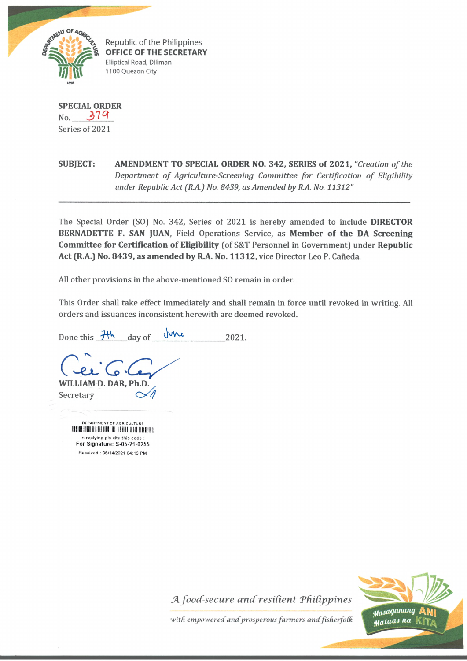

**^ Republic of the Philippines OFFICE OF THE SECRETARY** Elliptical Road, Diliman 1100 Quezon City

**SPECIAL ORDER** No. *3 1 9* Series of 2021

**SUBJECT: AMENDMENT TO SPECIAL ORDER NO. 342, SERIES of 2021,** *"Creation of the Department of Agriculture-Screening Committee for Certification of Eligibility under Republic Act (R.A.) No. 8439, as Amended by R.A. No. 11312"*

The Special Order (SO) No. 342, Series of 2021 is hereby amended to include **DIRECTOR BERNADETTE F. SAN JUAN,** Field Operations Service, as **Member of the DA Screening Committee for Certification of Eligibility** (of S&T Personnel in Government) under **Republic** Act (R.A.) No. 8439, as amended by R.A. No. 11312, vice Director Leo P. Cañeda.

All other provisions in the above-mentioned SO remain in order.

This Order shall take effect immediately and shall remain in force until revoked in writing. All orders and issuances inconsistent herewith are deemed revoked.

Done this  $\frac{1}{10}$  day of  $\frac{1}{10}$   $\frac{1}{2021}$ .

**WILLIAM D. DAR, Ph.D.** Secretary

> DEPARTMENT OF AGRICULTURE IIII II III I ill il I i! I; M! I! I I in replying pls cite this code For Signature: S-05-21-0255 Received : 05/14/2021 04:19 PM





with empowered and prosperous farmers and fisherfolk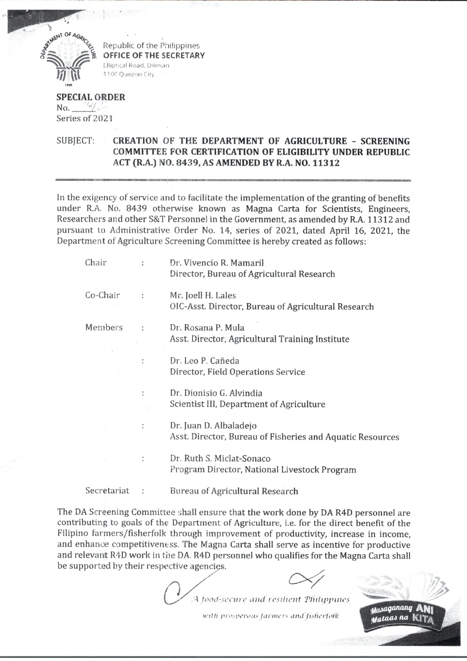

Republic of the Philippines **OFFICE OF THE SECRETARY** Elliptical Road. Diliman 1100 Quezon City

**SPECIAL ORDER** no. *: u/ i -* Series of 2021

SUBJECT: **CREATION** OF **THE DEPARTMENT OF AGRICULTURE - SCREENING COMMITTEE FOR CERTIFICATION OF ELIGIBILITY UNDER REPUBLIC ACT (R.A.)** NO. **8439, AS AMENDED BY R.A, NO. 11312**

In the exigency of service and to facilitate the implementation of the granting of benefits under R.A. No. 8439 otherwise known as Magna Carta for Scientists, Engineers, Researchers and other S&T Personnel in the Government, as amended by R.A. 11312 and pursuant to Administrative Order No. 14, series of 2021, dated April 16, 2021, the Department of Agriculture Screening Committee is hereby created as follows:

| Chair       |                      | Dr. Vivencio R. Mamaril                                   |
|-------------|----------------------|-----------------------------------------------------------|
|             |                      | Director, Bureau of Agricultural Research                 |
| Co-Chair    | $\ddot{\cdot}$       | Mr. Joell H. Lales                                        |
|             |                      | OIC-Asst. Director, Bureau of Agricultural Research       |
| Members     |                      | Dr. Rosana P. Mula                                        |
|             |                      | Asst. Director, Agricultural Training Institute           |
|             | $\ddot{\phantom{a}}$ | Dr. Leo P. Cañeda                                         |
|             |                      | Director, Field Operations Service                        |
|             |                      | Dr. Dionisio G. Alvindia                                  |
|             |                      | Scientist III, Department of Agriculture                  |
|             | ÷                    | Dr. Juan D. Albaladejo                                    |
|             |                      | Asst. Director, Bureau of Fisheries and Aquatic Resources |
|             |                      | Dr. Ruth S. Miclat-Sonaco                                 |
|             |                      | Program Director, National Livestock Program              |
| Secretariat |                      | <b>Bureau of Agricultural Research</b>                    |

The DA Screening Committee shall ensure that the work done by DA R4D personnel are contributing to goals of the Department of Agriculture, i.e. for the direct benefit of the Filipino farmers/fisherfolk through improvement of productivity, increase in income, and enhance competitiveness. The Magna Carta shall serve as incentive for productive and relevant R4D work in the DA. R4D personnel who qualifies for the Magna Carta shall be supported by their respective agencies.

0 X *Cx?*

( . *food-secure and resilient Philippines*

*with prosperous fanners and fisticrfotk*

*^ajagantutg* A\*\*! *#ata<u na* KlTA